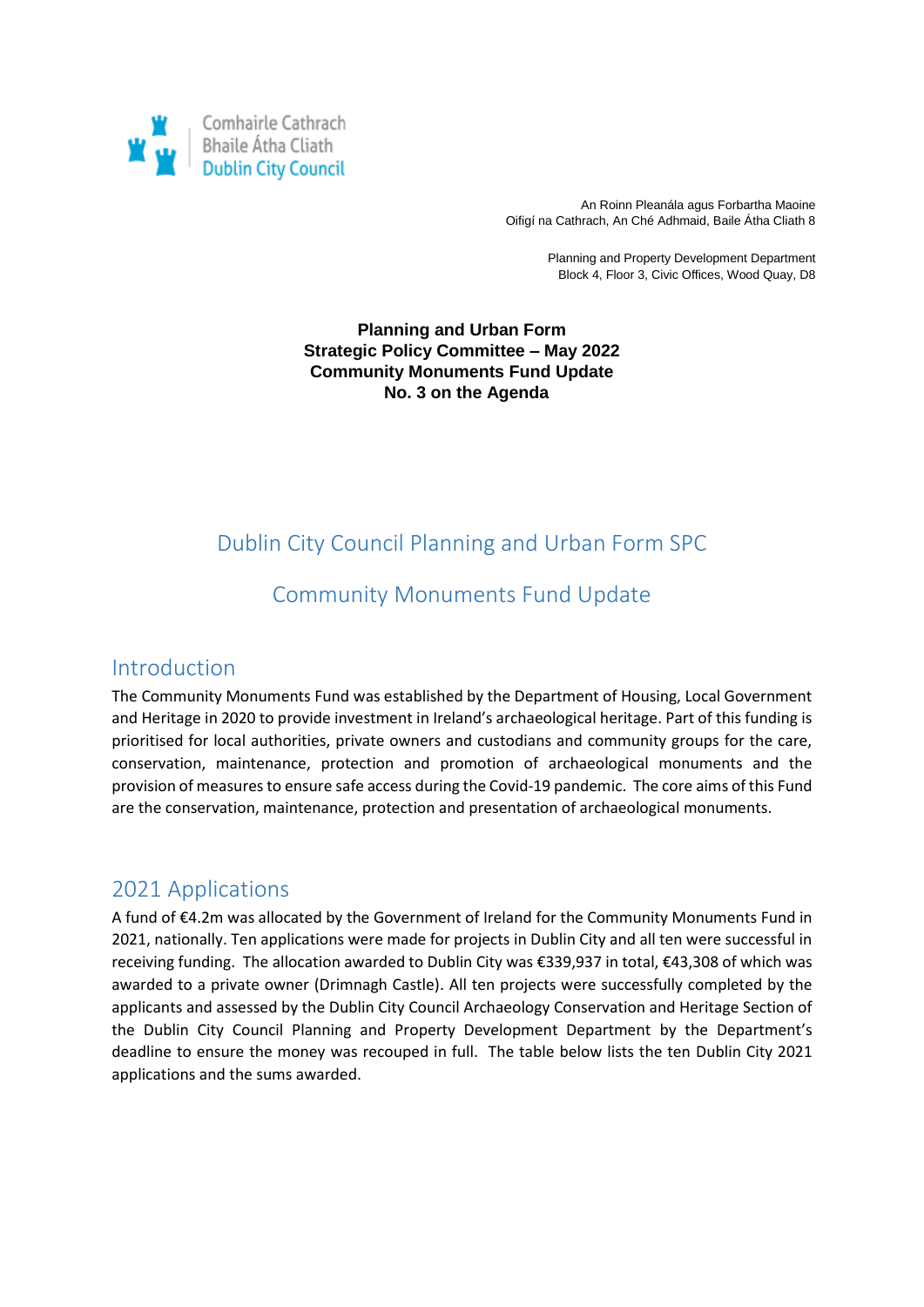

An Roinn Pleanála agus Forbartha Maoine Oifigí na Cathrach, An Ché Adhmaid, Baile Átha Cliath 8

> Planning and Property Development Department Block 4, Floor 3, Civic Offices, Wood Quay, D8

#### **Planning and Urban Form Strategic Policy Committee – May 2022 Community Monuments Fund Update No. 3 on the Agenda**

# Dublin City Council Planning and Urban Form SPC

# Community Monuments Fund Update

#### Introduction

The Community Monuments Fund was established by the Department of Housing, Local Government and Heritage in 2020 to provide investment in Ireland's archaeological heritage. Part of this funding is prioritised for local authorities, private owners and custodians and community groups for the care, conservation, maintenance, protection and promotion of archaeological monuments and the provision of measures to ensure safe access during the Covid-19 pandemic. The core aims of this Fund are the conservation, maintenance, protection and presentation of archaeological monuments.

#### 2021 Applications

A fund of €4.2m was allocated by the Government of Ireland for the Community Monuments Fund in 2021, nationally. Ten applications were made for projects in Dublin City and all ten were successful in receiving funding. The allocation awarded to Dublin City was €339,937 in total, €43,308 of which was awarded to a private owner (Drimnagh Castle). All ten projects were successfully completed by the applicants and assessed by the Dublin City Council Archaeology Conservation and Heritage Section of the Dublin City Council Planning and Property Development Department by the Department's deadline to ensure the money was recouped in full. The table below lists the ten Dublin City 2021 applications and the sums awarded.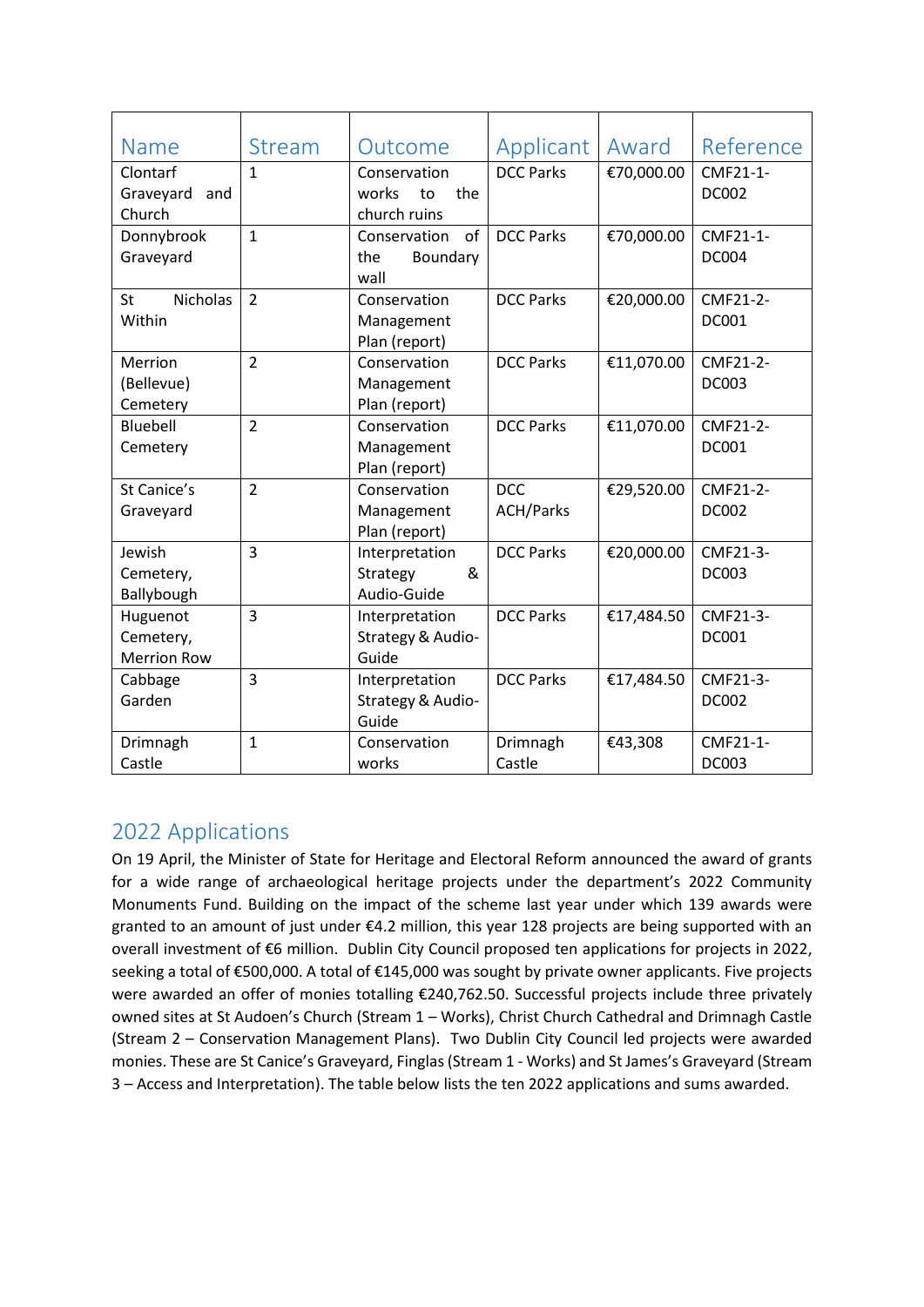| <b>Name</b>           | Stream         | Outcome            | Applicant        | Award      | Reference    |
|-----------------------|----------------|--------------------|------------------|------------|--------------|
| Clontarf              | $\mathbf{1}$   | Conservation       | <b>DCC Parks</b> | €70,000.00 | CMF21-1-     |
| Graveyard<br>and      |                | works<br>the<br>to |                  |            | <b>DC002</b> |
| Church                |                | church ruins       |                  |            |              |
| Donnybrook            | $\mathbf{1}$   | of<br>Conservation | <b>DCC Parks</b> | €70,000.00 | CMF21-1-     |
| Graveyard             |                | the<br>Boundary    |                  |            | <b>DC004</b> |
|                       |                | wall               |                  |            |              |
| <b>Nicholas</b><br>St | $\overline{2}$ | Conservation       | <b>DCC Parks</b> | €20,000.00 | CMF21-2-     |
| Within                |                | Management         |                  |            | <b>DC001</b> |
|                       |                | Plan (report)      |                  |            |              |
| Merrion               | $\overline{2}$ | Conservation       | <b>DCC Parks</b> | €11,070.00 | CMF21-2-     |
| (Bellevue)            |                | Management         |                  |            | <b>DC003</b> |
| Cemetery              |                | Plan (report)      |                  |            |              |
| Bluebell              | $\overline{2}$ | Conservation       | <b>DCC Parks</b> | €11,070.00 | CMF21-2-     |
| Cemetery              |                | Management         |                  |            | <b>DC001</b> |
|                       |                | Plan (report)      |                  |            |              |
| St Canice's           | $\overline{2}$ | Conservation       | <b>DCC</b>       | €29,520.00 | CMF21-2-     |
| Graveyard             |                | Management         | <b>ACH/Parks</b> |            | <b>DC002</b> |
|                       |                | Plan (report)      |                  |            |              |
| Jewish                | $\overline{3}$ | Interpretation     | <b>DCC Parks</b> | €20,000.00 | CMF21-3-     |
| Cemetery,             |                | &<br>Strategy      |                  |            | <b>DC003</b> |
| Ballybough            |                | Audio-Guide        |                  |            |              |
| Huguenot              | $\overline{3}$ | Interpretation     | <b>DCC Parks</b> | €17,484.50 | CMF21-3-     |
| Cemetery,             |                | Strategy & Audio-  |                  |            | <b>DC001</b> |
| <b>Merrion Row</b>    |                | Guide              |                  |            |              |
| Cabbage               | $\overline{3}$ | Interpretation     | <b>DCC Parks</b> | €17,484.50 | CMF21-3-     |
| Garden                |                | Strategy & Audio-  |                  |            | <b>DC002</b> |
|                       |                | Guide              |                  |            |              |
| Drimnagh              | $\mathbf{1}$   | Conservation       | Drimnagh         | €43,308    | CMF21-1-     |
| Castle                |                | works              | Castle           |            | <b>DC003</b> |

# 2022 Applications

On 19 April, the Minister of State for Heritage and Electoral Reform announced the award of grants for a wide range of archaeological heritage projects under the department's 2022 Community Monuments Fund. Building on the impact of the scheme last year under which 139 awards were granted to an amount of just under €4.2 million, this year 128 projects are being supported with an overall investment of €6 million. Dublin City Council proposed ten applications for projects in 2022, seeking a total of €500,000. A total of €145,000 was sought by private owner applicants. Five projects were awarded an offer of monies totalling €240,762.50. Successful projects include three privately owned sites at St Audoen's Church (Stream 1 – Works), Christ Church Cathedral and Drimnagh Castle (Stream 2 – Conservation Management Plans). Two Dublin City Council led projects were awarded monies. These are St Canice's Graveyard, Finglas (Stream 1 - Works) and St James's Graveyard (Stream 3 – Access and Interpretation). The table below lists the ten 2022 applications and sums awarded.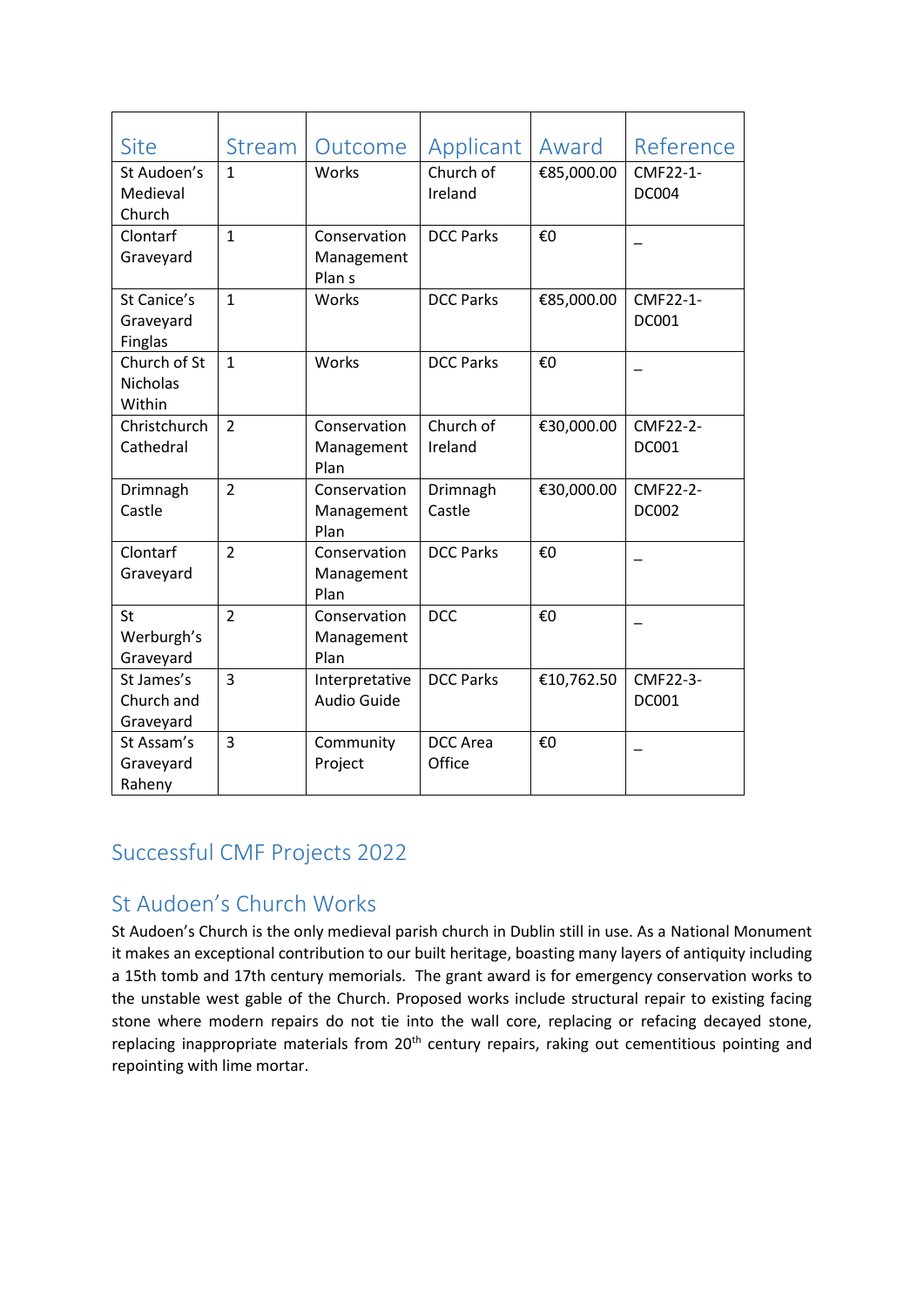| <b>Site</b>                                | <b>Stream</b>  | Outcome                                         | Applicant                 | Award      | Reference                |
|--------------------------------------------|----------------|-------------------------------------------------|---------------------------|------------|--------------------------|
| St Audoen's<br>Medieval<br>Church          | $\mathbf{1}$   | Works                                           | Church of<br>Ireland      | €85,000.00 | CMF22-1-<br><b>DC004</b> |
| Clontarf<br>Graveyard                      | $\mathbf{1}$   | Conservation<br>Management<br>Plan <sub>s</sub> | <b>DCC Parks</b>          | €0         |                          |
| St Canice's<br>Graveyard<br><b>Finglas</b> | $\mathbf{1}$   | Works                                           | <b>DCC Parks</b>          | €85,000.00 | CMF22-1-<br>DC001        |
| Church of St<br>Nicholas<br>Within         | $\mathbf{1}$   | Works                                           | <b>DCC Parks</b>          | €0         |                          |
| Christchurch<br>Cathedral                  | $\overline{2}$ | Conservation<br>Management<br>Plan              | Church of<br>Ireland      | €30,000.00 | CMF22-2-<br><b>DC001</b> |
| Drimnagh<br>Castle                         | $\overline{2}$ | Conservation<br>Management<br>Plan              | Drimnagh<br>Castle        | €30,000.00 | CMF22-2-<br><b>DC002</b> |
| Clontarf<br>Graveyard                      | $\overline{2}$ | Conservation<br>Management<br>Plan              | <b>DCC Parks</b>          | €0         |                          |
| St<br>Werburgh's<br>Graveyard              | $\overline{2}$ | Conservation<br>Management<br>Plan              | <b>DCC</b>                | €0         |                          |
| St James's<br>Church and<br>Graveyard      | 3              | Interpretative<br>Audio Guide                   | <b>DCC Parks</b>          | €10,762.50 | CMF22-3-<br><b>DC001</b> |
| St Assam's<br>Graveyard<br>Raheny          | 3              | Community<br>Project                            | <b>DCC</b> Area<br>Office | €0         |                          |

# Successful CMF Projects 2022

# St Audoen's Church Works

St Audoen's Church is the only medieval parish church in Dublin still in use. As a National Monument it makes an exceptional contribution to our built heritage, boasting many layers of antiquity including a 15th tomb and 17th century memorials. The grant award is for emergency conservation works to the unstable west gable of the Church. Proposed works include structural repair to existing facing stone where modern repairs do not tie into the wall core, replacing or refacing decayed stone, replacing inappropriate materials from 20<sup>th</sup> century repairs, raking out cementitious pointing and repointing with lime mortar.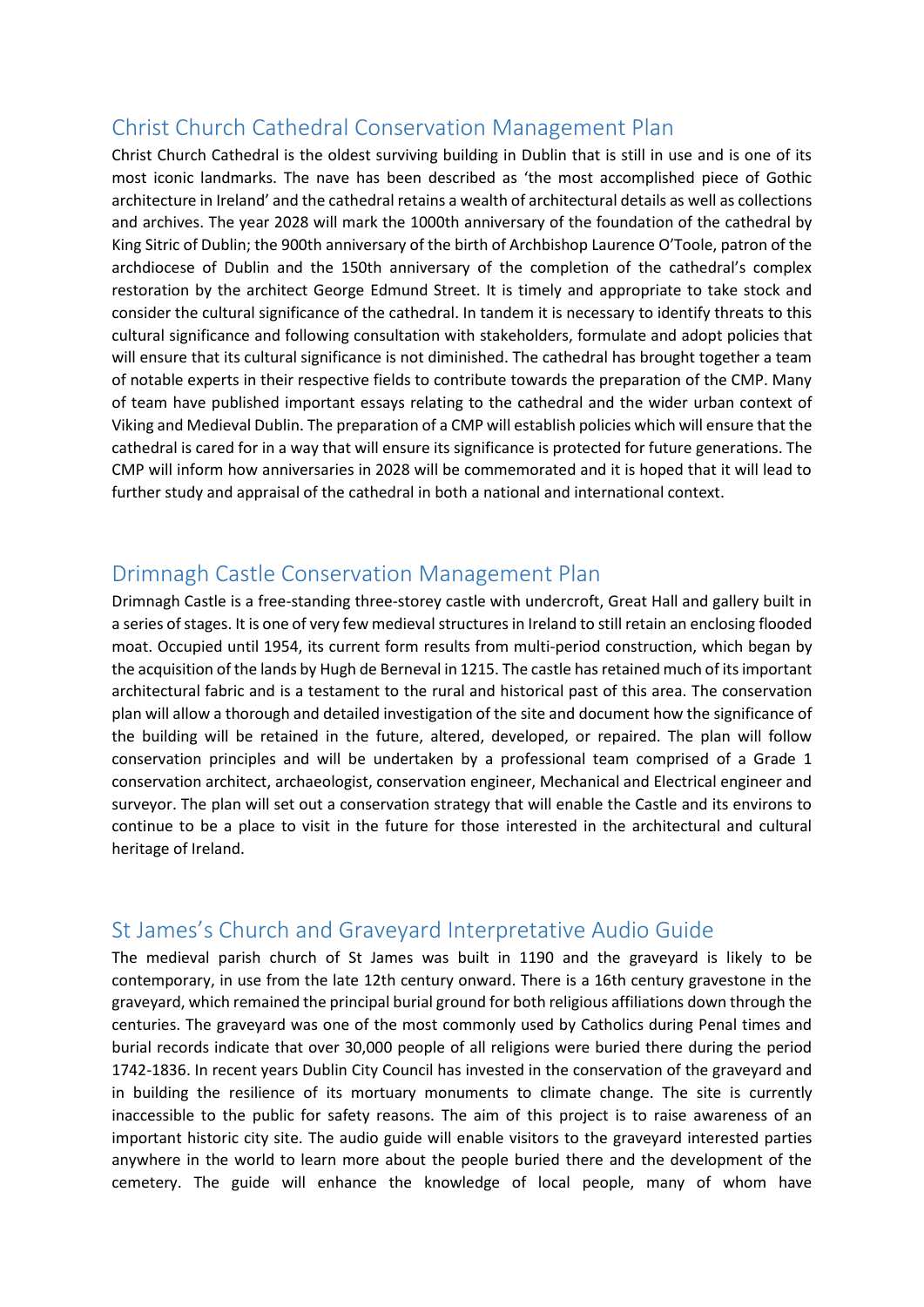#### Christ Church Cathedral Conservation Management Plan

Christ Church Cathedral is the oldest surviving building in Dublin that is still in use and is one of its most iconic landmarks. The nave has been described as 'the most accomplished piece of Gothic architecture in Ireland' and the cathedral retains a wealth of architectural details as well as collections and archives. The year 2028 will mark the 1000th anniversary of the foundation of the cathedral by King Sitric of Dublin; the 900th anniversary of the birth of Archbishop Laurence O'Toole, patron of the archdiocese of Dublin and the 150th anniversary of the completion of the cathedral's complex restoration by the architect George Edmund Street. It is timely and appropriate to take stock and consider the cultural significance of the cathedral. In tandem it is necessary to identify threats to this cultural significance and following consultation with stakeholders, formulate and adopt policies that will ensure that its cultural significance is not diminished. The cathedral has brought together a team of notable experts in their respective fields to contribute towards the preparation of the CMP. Many of team have published important essays relating to the cathedral and the wider urban context of Viking and Medieval Dublin. The preparation of a CMP will establish policies which will ensure that the cathedral is cared for in a way that will ensure its significance is protected for future generations. The CMP will inform how anniversaries in 2028 will be commemorated and it is hoped that it will lead to further study and appraisal of the cathedral in both a national and international context.

#### Drimnagh Castle Conservation Management Plan

Drimnagh Castle is a free-standing three-storey castle with undercroft, Great Hall and gallery built in a series of stages. It is one of very few medieval structures in Ireland to still retain an enclosing flooded moat. Occupied until 1954, its current form results from multi-period construction, which began by the acquisition of the lands by Hugh de Berneval in 1215. The castle has retained much of its important architectural fabric and is a testament to the rural and historical past of this area. The conservation plan will allow a thorough and detailed investigation of the site and document how the significance of the building will be retained in the future, altered, developed, or repaired. The plan will follow conservation principles and will be undertaken by a professional team comprised of a Grade 1 conservation architect, archaeologist, conservation engineer, Mechanical and Electrical engineer and surveyor. The plan will set out a conservation strategy that will enable the Castle and its environs to continue to be a place to visit in the future for those interested in the architectural and cultural heritage of Ireland.

#### St James's Church and Graveyard Interpretative Audio Guide

The medieval parish church of St James was built in 1190 and the graveyard is likely to be contemporary, in use from the late 12th century onward. There is a 16th century gravestone in the graveyard, which remained the principal burial ground for both religious affiliations down through the centuries. The graveyard was one of the most commonly used by Catholics during Penal times and burial records indicate that over 30,000 people of all religions were buried there during the period 1742-1836. In recent years Dublin City Council has invested in the conservation of the graveyard and in building the resilience of its mortuary monuments to climate change. The site is currently inaccessible to the public for safety reasons. The aim of this project is to raise awareness of an important historic city site. The audio guide will enable visitors to the graveyard interested parties anywhere in the world to learn more about the people buried there and the development of the cemetery. The guide will enhance the knowledge of local people, many of whom have